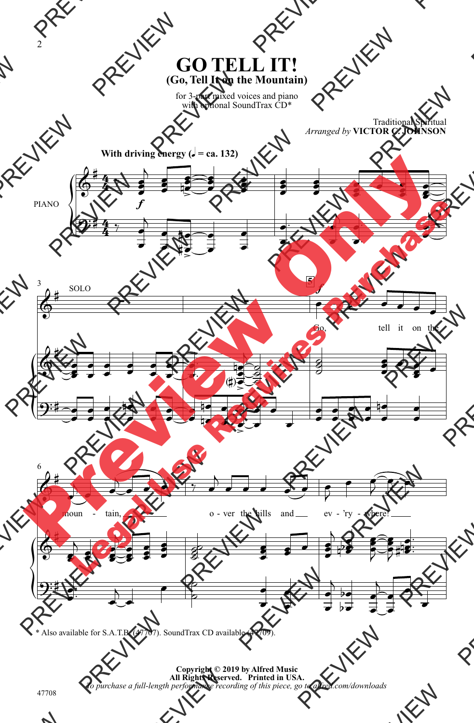## **GO TELL IT! (Go, Tell It on the Mountain)**

for 3-part mixed voices and piano with optional SoundTrax CD<sup>\*</sup>

> Traditional Spiritual *Arranged by* **VICTOR C. JOHNSON**



\* Also available for S.A.T.B. (47707). SoundTrax CD available (47709).

**Copyright © 2019 by Alfred Music All Rights Reserved. Printed in USA.** *To purchase a full-length performance recording of this piece, go to alfred.com/downloads*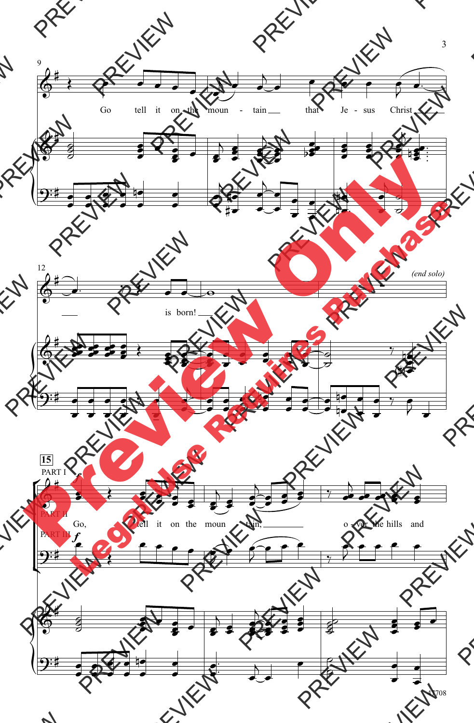![](_page_1_Figure_0.jpeg)

<sup>47708</sup>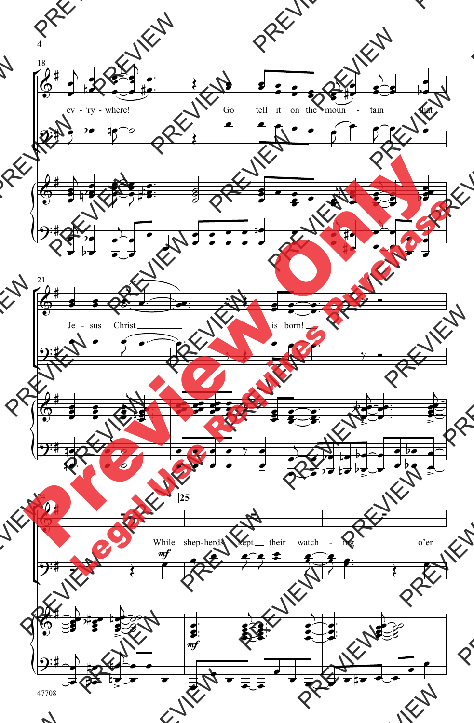![](_page_2_Figure_0.jpeg)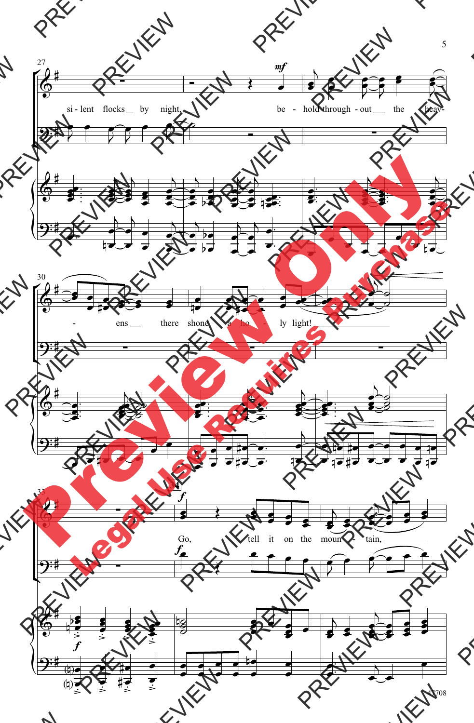![](_page_3_Figure_0.jpeg)

5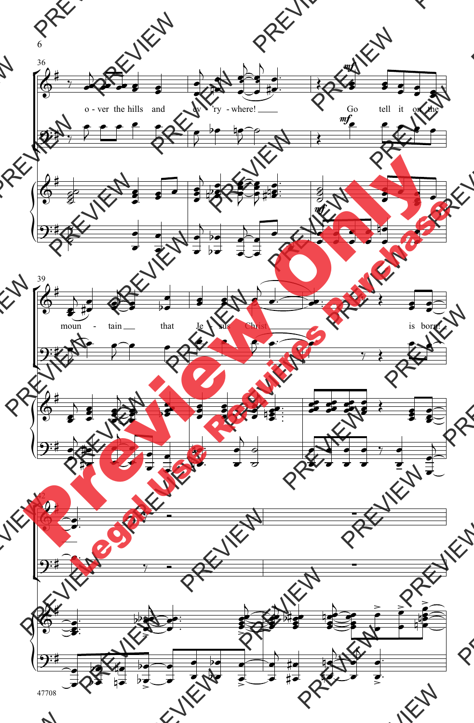![](_page_4_Figure_0.jpeg)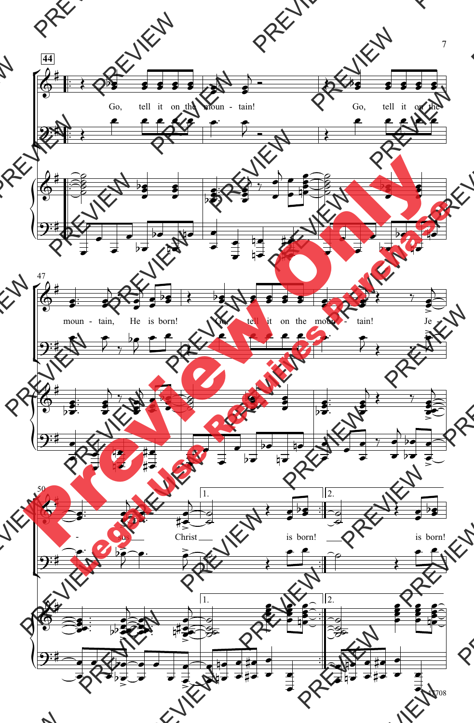![](_page_5_Figure_0.jpeg)

7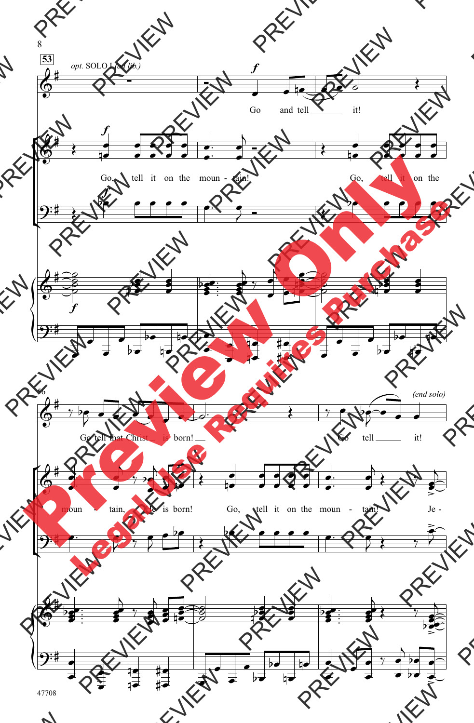![](_page_6_Figure_0.jpeg)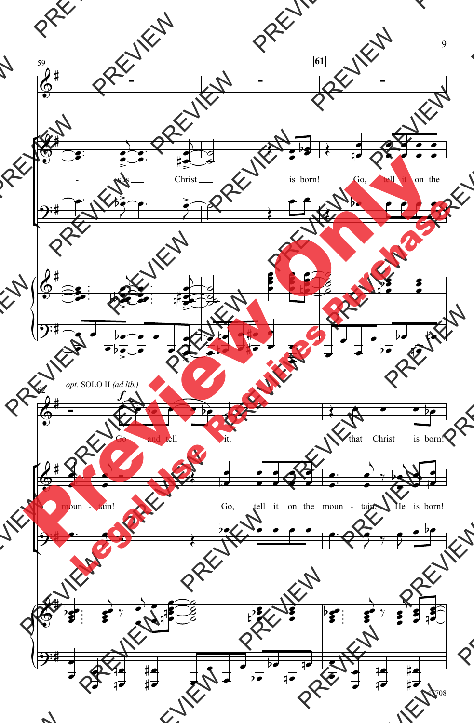![](_page_7_Figure_0.jpeg)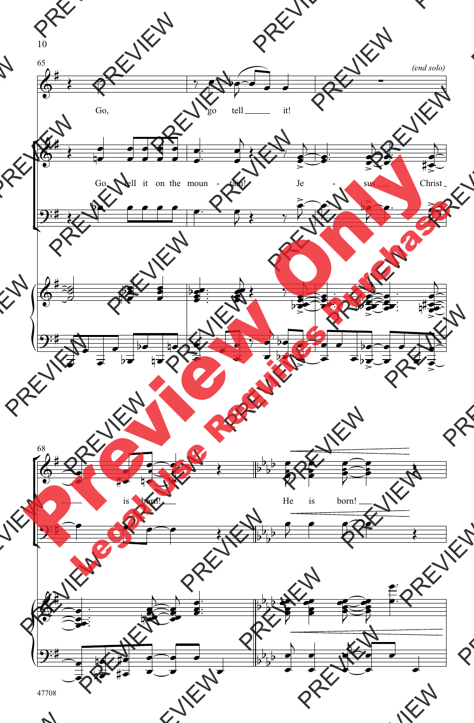![](_page_8_Figure_0.jpeg)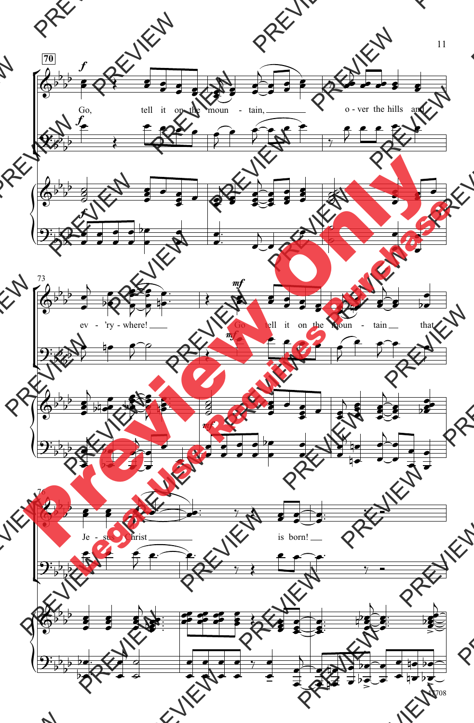![](_page_9_Figure_0.jpeg)